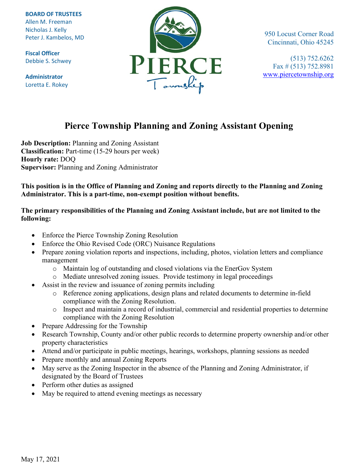**BOARD OF TRUSTEES** Allen M. Freeman Nicholas J. Kelly Peter J. Kambelos, MD

**Fiscal Officer** Debbie S. Schwey

**Administrator** Loretta E. Rokey



950 Locust Corner Road Cincinnati, Ohio 45245

(513) 752.6262 Fax # (513) 752.8981 [www.piercetownship.org](http://www.piercetownship.org/)

# **Pierce Township Planning and Zoning Assistant Opening**

**Job Description:** Planning and Zoning Assistant **Classification:** Part-time (15-29 hours per week) **Hourly rate:** DOQ **Supervisor:** Planning and Zoning Administrator

**This position is in the Office of Planning and Zoning and reports directly to the Planning and Zoning Administrator. This is a part-time, non-exempt position without benefits.**

### **The primary responsibilities of the Planning and Zoning Assistant include, but are not limited to the following:**

- Enforce the Pierce Township Zoning Resolution
- Enforce the Ohio Revised Code (ORC) Nuisance Regulations
- Prepare zoning violation reports and inspections, including, photos, violation letters and compliance management
	- o Maintain log of outstanding and closed violations via the EnerGov System
	- o Mediate unresolved zoning issues. Provide testimony in legal proceedings
- Assist in the review and issuance of zoning permits including
	- o Reference zoning applications, design plans and related documents to determine in-field compliance with the Zoning Resolution.
	- o Inspect and maintain a record of industrial, commercial and residential properties to determine compliance with the Zoning Resolution
- Prepare Addressing for the Township
- Research Township, County and/or other public records to determine property ownership and/or other property characteristics
- Attend and/or participate in public meetings, hearings, workshops, planning sessions as needed
- Prepare monthly and annual Zoning Reports
- May serve as the Zoning Inspector in the absence of the Planning and Zoning Administrator, if designated by the Board of Trustees
- Perform other duties as assigned
- May be required to attend evening meetings as necessary